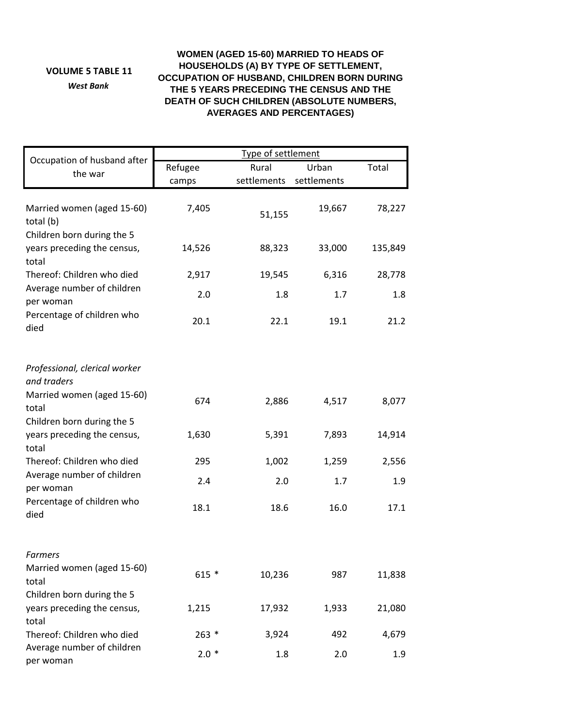## **VOLUME 5 TABLE 11**

*West Bank*

## **WOMEN (AGED 15-60) MARRIED TO HEADS OF HOUSEHOLDS (A) BY TYPE OF SETTLEMENT, OCCUPATION OF HUSBAND, CHILDREN BORN DURING THE 5 YEARS PRECEDING THE CENSUS AND THE DEATH OF SUCH CHILDREN (ABSOLUTE NUMBERS, AVERAGES AND PERCENTAGES)**

| Occupation of husband after<br>the war                                                                        | Type of settlement |                      |                      |         |
|---------------------------------------------------------------------------------------------------------------|--------------------|----------------------|----------------------|---------|
|                                                                                                               | Refugee<br>camps   | Rural<br>settlements | Urban<br>settlements | Total   |
| Married women (aged 15-60)<br>total (b)<br>Children born during the 5<br>years preceding the census,<br>total | 7,405              | 51,155               | 19,667               | 78,227  |
|                                                                                                               | 14,526             | 88,323               | 33,000               | 135,849 |
| Thereof: Children who died<br>Average number of children<br>per woman<br>Percentage of children who<br>died   | 2,917              | 19,545               | 6,316                | 28,778  |
|                                                                                                               | 2.0                | 1.8                  | 1.7                  | 1.8     |
|                                                                                                               | 20.1               | 22.1                 | 19.1                 | 21.2    |
| Professional, clerical worker<br>and traders<br>Married women (aged 15-60)<br>total                           | 674                | 2,886                | 4,517                | 8,077   |
| Children born during the 5<br>years preceding the census,<br>total                                            | 1,630              | 5,391                | 7,893                | 14,914  |
| Thereof: Children who died<br>Average number of children<br>per woman<br>Percentage of children who<br>died   | 295                | 1,002                | 1,259                | 2,556   |
|                                                                                                               | 2.4                | 2.0                  | 1.7                  | 1.9     |
|                                                                                                               | 18.1               | 18.6                 | 16.0                 | 17.1    |
| <b>Farmers</b>                                                                                                |                    |                      |                      |         |
| Married women (aged 15-60)<br>total                                                                           | $615 *$            | 10,236               | 987                  | 11,838  |
| Children born during the 5<br>years preceding the census,                                                     | 1,215              | 17,932               | 1,933                | 21,080  |
| total<br>Thereof: Children who died                                                                           | $263 *$            | 3,924                | 492                  | 4,679   |
| Average number of children<br>per woman                                                                       | $2.0*$             | 1.8                  | 2.0                  | 1.9     |